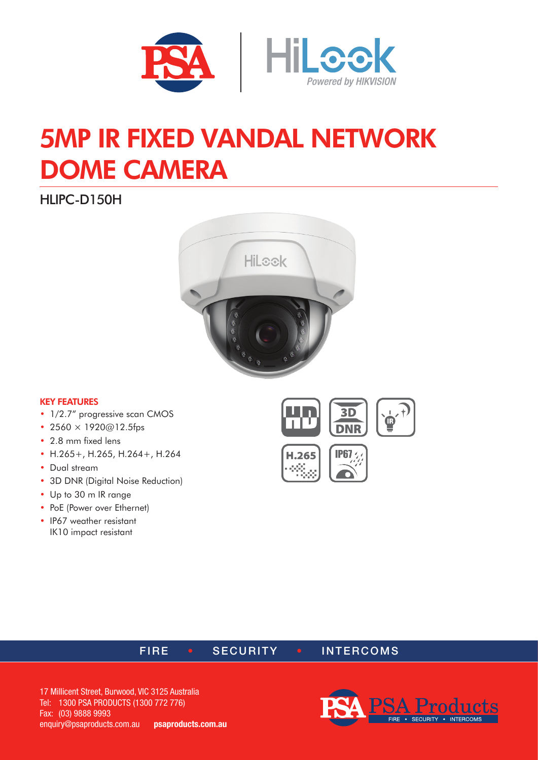

# 5MP IR FIXED VANDAL NETWORK DOME CAMERA

HLIPC-D150H



#### KEY FEATURES

- 1/2.7" progressive scan CMOS
- 2560  $\times$  1920 $@12.5$ fps
- 2.8 mm fixed lens
- H.265+, H.265, H.264+, H.264
- Dual stream
- 3D DNR (Digital Noise Reduction)
- Up to 30 m IR range
- PoE (Power over Ethernet)
- IP67 weather resistant IK10 impact resistant





#### FIRE • SECURITY • INTERCOMS

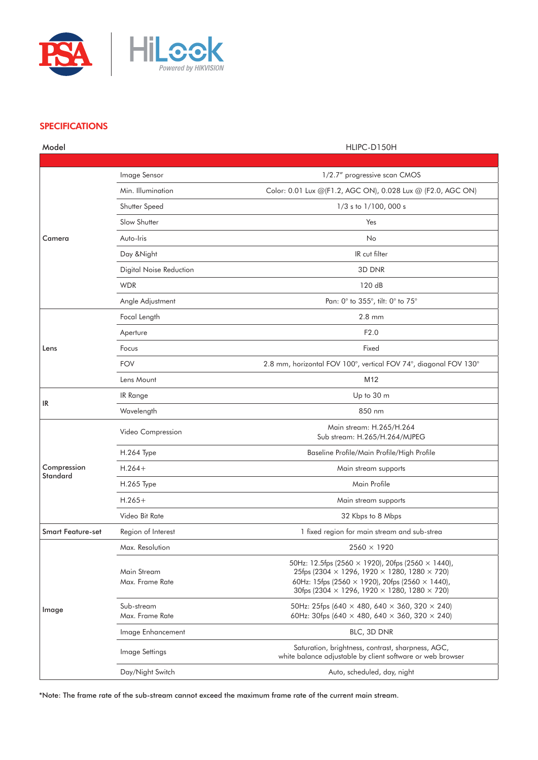

#### **SPECIFICATIONS**

| Model                          |                                | HLIPC-D150H                                                                                                                                                                                                                                                                |
|--------------------------------|--------------------------------|----------------------------------------------------------------------------------------------------------------------------------------------------------------------------------------------------------------------------------------------------------------------------|
|                                |                                |                                                                                                                                                                                                                                                                            |
| Camera                         | Image Sensor                   | 1/2.7" progressive scan CMOS                                                                                                                                                                                                                                               |
|                                | Min. Illumination              | Color: 0.01 Lux @(F1.2, AGC ON), 0.028 Lux @ (F2.0, AGC ON)                                                                                                                                                                                                                |
|                                | Shutter Speed                  | 1/3 s to 1/100, 000 s                                                                                                                                                                                                                                                      |
|                                | Slow Shutter                   | Yes                                                                                                                                                                                                                                                                        |
|                                | Auto-Iris                      | No                                                                                                                                                                                                                                                                         |
|                                | Day & Night                    | IR cut filter                                                                                                                                                                                                                                                              |
|                                | Digital Noise Reduction        | 3D DNR                                                                                                                                                                                                                                                                     |
|                                | <b>WDR</b>                     | 120 dB                                                                                                                                                                                                                                                                     |
|                                | Angle Adjustment               | Pan: 0° to 355°, tilt: 0° to 75°                                                                                                                                                                                                                                           |
| Lens                           | Focal Length                   | $2.8 \text{ mm}$                                                                                                                                                                                                                                                           |
|                                | Aperture                       | F2.0                                                                                                                                                                                                                                                                       |
|                                | Focus                          | Fixed                                                                                                                                                                                                                                                                      |
|                                | <b>FOV</b>                     | 2.8 mm, horizontal FOV 100°, vertical FOV 74°, diagonal FOV 130°                                                                                                                                                                                                           |
|                                | Lens Mount                     | M12                                                                                                                                                                                                                                                                        |
|                                | IR Range                       | Up to 30 m                                                                                                                                                                                                                                                                 |
| IR                             | Wavelength                     | 850 nm                                                                                                                                                                                                                                                                     |
| Compression<br><b>Standard</b> | Video Compression              | Main stream: H.265/H.264<br>Sub stream: H.265/H.264/MJPEG                                                                                                                                                                                                                  |
|                                | H.264 Type                     | Baseline Profile/Main Profile/High Profile                                                                                                                                                                                                                                 |
|                                | $H.264+$                       | Main stream supports                                                                                                                                                                                                                                                       |
|                                | H.265 Type                     | Main Profile                                                                                                                                                                                                                                                               |
|                                | $H.265+$                       | Main stream supports                                                                                                                                                                                                                                                       |
|                                | Video Bit Rate                 | 32 Kbps to 8 Mbps                                                                                                                                                                                                                                                          |
| <b>Smart Feature-set</b>       | Region of Interest             | 1 fixed region for main stream and sub-strea                                                                                                                                                                                                                               |
| Image                          | Max. Resolution                | $2560 \times 1920$                                                                                                                                                                                                                                                         |
|                                | Main Stream<br>Max. Frame Rate | 50Hz: 12.5fps (2560 $\times$ 1920), 20fps (2560 $\times$ 1440),<br>25fps (2304 $\times$ 1296, 1920 $\times$ 1280, 1280 $\times$ 720)<br>60Hz: 15fps (2560 $\times$ 1920), 20fps (2560 $\times$ 1440),<br>30fps (2304 $\times$ 1296, 1920 $\times$ 1280, 1280 $\times$ 720) |
|                                | Sub-stream<br>Max. Frame Rate  | 50Hz: 25fps (640 $\times$ 480, 640 $\times$ 360, 320 $\times$ 240)<br>60Hz: 30fps (640 $\times$ 480, 640 $\times$ 360, 320 $\times$ 240)                                                                                                                                   |
|                                | Image Enhancement              | BLC, 3D DNR                                                                                                                                                                                                                                                                |
|                                | Image Settings                 | Saturation, brightness, contrast, sharpness, AGC,<br>white balance adjustable by client software or web browser                                                                                                                                                            |
|                                | Day/Night Switch               | Auto, scheduled, day, night                                                                                                                                                                                                                                                |

\*Note: The frame rate of the sub-stream cannot exceed the maximum frame rate of the current main stream.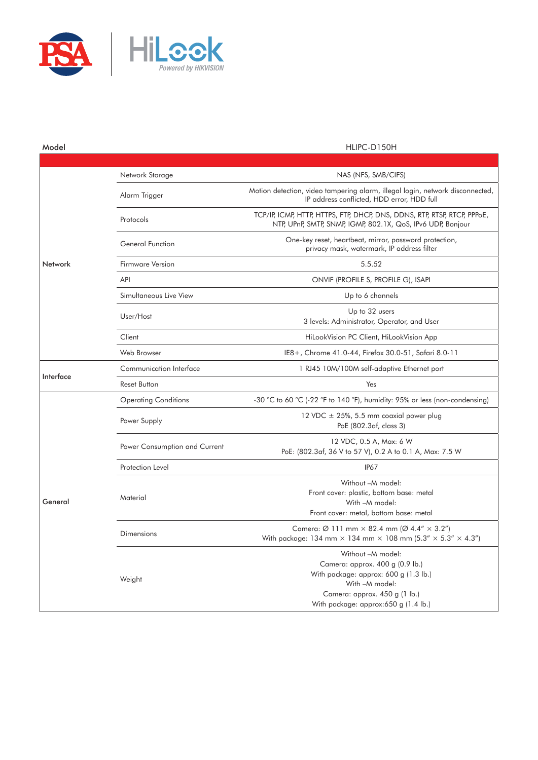

| Model     |                               | HLIPC-D150H                                                                                                                                                                              |
|-----------|-------------------------------|------------------------------------------------------------------------------------------------------------------------------------------------------------------------------------------|
|           |                               |                                                                                                                                                                                          |
| Network   | Network Storage               | NAS (NFS, SMB/CIFS)                                                                                                                                                                      |
|           | Alarm Trigger                 | Motion detection, video tampering alarm, illegal login, network disconnected,<br>IP address conflicted, HDD error, HDD full                                                              |
|           | Protocols                     | TCP/IP, ICMP, HTTP, HTTPS, FTP, DHCP, DNS, DDNS, RTP, RTSP, RTCP, PPPoE,<br>NTP, UPnP, SMTP, SNMP, IGMP, 802.1X, QoS, IPv6 UDP, Bonjour                                                  |
|           | General Function              | One-key reset, heartbeat, mirror, password protection,<br>privacy mask, watermark, IP address filter                                                                                     |
|           | Firmware Version              | 5.5.52                                                                                                                                                                                   |
|           | API                           | ONVIF (PROFILE S, PROFILE G), ISAPI                                                                                                                                                      |
|           | Simultaneous Live View        | Up to 6 channels                                                                                                                                                                         |
|           | User/Host                     | Up to 32 users<br>3 levels: Administrator, Operator, and User                                                                                                                            |
|           | Client                        | HiLookVision PC Client, HiLookVision App                                                                                                                                                 |
|           | Web Browser                   | IE8+, Chrome 41.0-44, Firefox 30.0-51, Safari 8.0-11                                                                                                                                     |
| Interface | Communication Interface       | 1 RJ45 10M/100M self-adaptive Ethernet port                                                                                                                                              |
|           | Reset Button                  | Yes                                                                                                                                                                                      |
| General   | <b>Operating Conditions</b>   | -30 °C to 60 °C (-22 °F to 140 °F), humidity: 95% or less (non-condensing)                                                                                                               |
|           | Power Supply                  | 12 VDC ± 25%, 5.5 mm coaxial power plug<br>PoE (802.3af, class 3)                                                                                                                        |
|           | Power Consumption and Current | 12 VDC, 0.5 A, Max: 6 W<br>PoE: (802.3af, 36 V to 57 V), 0.2 A to 0.1 A, Max: 7.5 W                                                                                                      |
|           | Protection Level              | <b>IP67</b>                                                                                                                                                                              |
|           | Material                      | Without -M model:<br>Front cover: plastic, bottom base: metal<br>With -M model:<br>Front cover: metal, bottom base: metal                                                                |
|           | <b>Dimensions</b>             | Camera: Ø 111 mm $\times$ 82.4 mm (Ø 4.4" $\times$ 3.2")<br>With package: 134 mm $\times$ 134 mm $\times$ 108 mm (5.3" $\times$ 5.3" $\times$ 4.3")                                      |
|           | Weight                        | Without -M model:<br>Camera: approx. 400 g (0.9 lb.)<br>With package: approx: 600 g (1.3 lb.)<br>With -M model:<br>Camera: approx. 450 g (1 lb.)<br>With package: approx:650 g (1.4 lb.) |